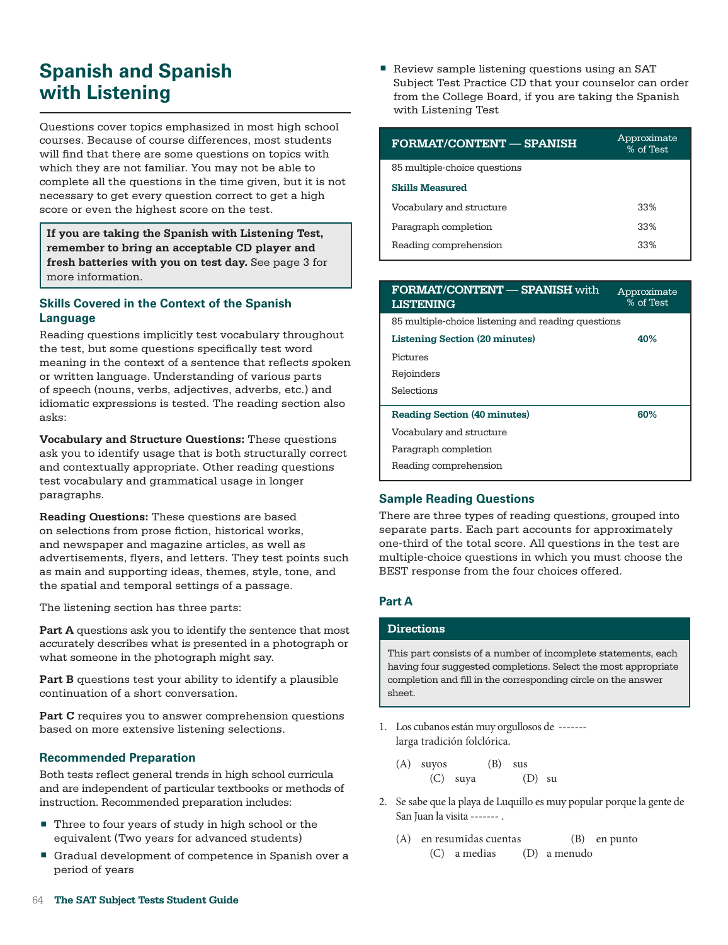# **Spanish and Spanish with Listening**

Questions cover topics emphasized in most high school courses. Because of course differences, most students will find that there are some questions on topics with which they are not familiar. You may not be able to complete all the questions in the time given, but it is not necessary to get every question correct to get a high score or even the highest score on the test.

**If you are taking the Spanish with Listening Test, remember to bring an acceptable CD player and fresh batteries with you on test day.** See page 3 for more information.

## **Skills Covered in the Context of the Spanish Language**

Reading questions implicitly test vocabulary throughout the test, but some questions specifically test word meaning in the context of a sentence that reflects spoken or written language. Understanding of various parts of speech (nouns, verbs, adjectives, adverbs, etc.) and idiomatic expressions is tested. The reading section also asks:

**Vocabulary and Structure Questions:** These questions ask you to identify usage that is both structurally correct and contextually appropriate. Other reading questions test vocabulary and grammatical usage in longer paragraphs.

**Reading Questions:** These questions are based on selections from prose fiction, historical works, and newspaper and magazine articles, as well as advertisements, flyers, and letters. They test points such as main and supporting ideas, themes, style, tone, and the spatial and temporal settings of a passage.

The listening section has three parts:

**Part A** questions ask you to identify the sentence that most accurately describes what is presented in a photograph or what someone in the photograph might say.

**Part B** questions test your ability to identify a plausible continuation of a short conversation.

Part C requires you to answer comprehension questions based on more extensive listening selections.

# **Recommended Preparation**

Both tests reflect general trends in high school curricula and are independent of particular textbooks or methods of instruction. Recommended preparation includes:

- Three to four years of study in high school or the equivalent (Two years for advanced students)
- Gradual development of competence in Spanish over a period of years

Review sample listening questions using an SAT Subject Test Practice CD that your counselor can order from the College Board, if you are taking the Spanish with Listening Test

| <b>FORMAT/CONTENT — SPANISH</b> | Approximate<br>% of Test |
|---------------------------------|--------------------------|
| 85 multiple-choice questions    |                          |
| <b>Skills Measured</b>          |                          |
| Vocabulary and structure        | 33%                      |
| Paragraph completion            | 33%                      |
| Reading comprehension           | 33%                      |

| <b>FORMAT/CONTENT — SPANISH with</b><br><b>LISTENING</b> | Approximate<br>% of Test |
|----------------------------------------------------------|--------------------------|
| 85 multiple-choice listening and reading questions       |                          |
| <b>Listening Section (20 minutes)</b>                    | 40%                      |
| Pictures                                                 |                          |
| Rejoinders                                               |                          |
| Selections                                               |                          |
| <b>Reading Section (40 minutes)</b>                      | 60%                      |
| Vocabulary and structure                                 |                          |
| Paragraph completion                                     |                          |
| Reading comprehension                                    |                          |

# **Sample Reading Questions**

There are three types of reading questions, grouped into separate parts. Each part accounts for approximately one-third of the total score. All questions in the test are multiple-choice questions in which you must choose the BEST response from the four choices offered.

### **Part A**

### **Directions**

This part consists of a number of incomplete statements, each having four suggested completions. Select the most appropriate completion and fill in the corresponding circle on the answer sheet.

- 1. Los cubanos están muy orgullosos de ------ larga tradición folclórica.
	- (A) suyos (B) sus (C) suya (D) su
- 2. Se sabe que la playa de Luquillo es muy popular porque la gente de San Juan la visita ------- .
	- (A) en resumidas cuentas (B) en punto (C) a medias (D) a menudo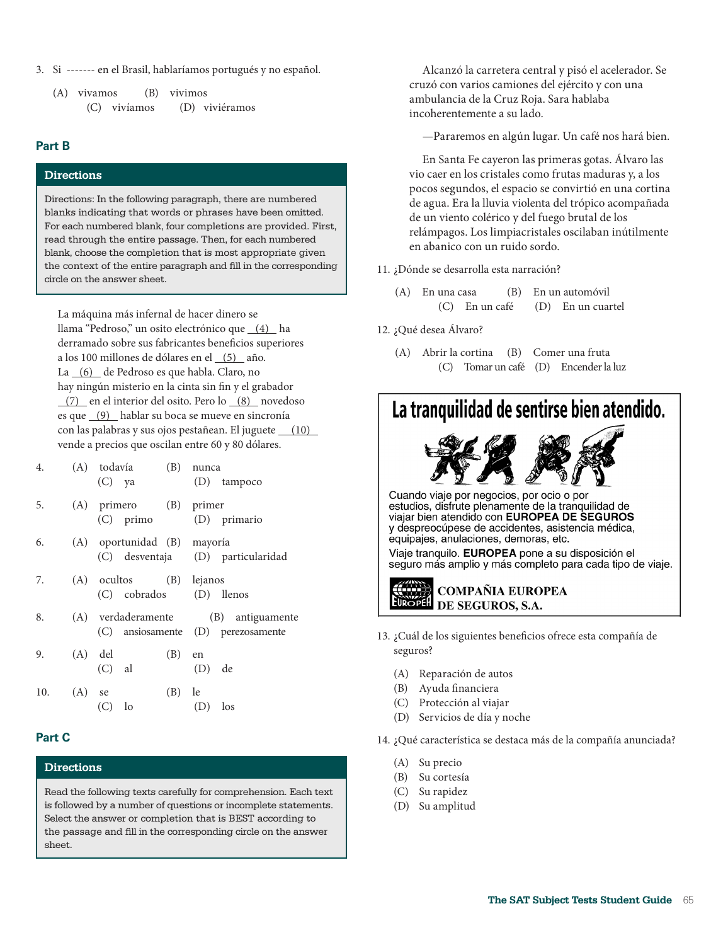3. Si ------- en el Brasil, hablaríamos portugués y no español.

| (A) vivamos |              | $(B)$ vivimos |                |  |
|-------------|--------------|---------------|----------------|--|
|             | (C) vivíamos |               | (D) viviéramos |  |

### **Part B**

### **Directions**

Directions: In the following paragraph, there are numbered blanks indicating that words or phrases have been omitted. For each numbered blank, four completions are provided. First, read through the entire passage. Then, for each numbered blank, choose the completion that is most appropriate given the context of the entire paragraph and fill in the corresponding circle on the answer sheet.

La máquina más infernal de hacer dinero se llama "Pedroso," un osito electrónico que (4) ha derramado sobre sus fabricantes benefcios superiores a los 100 millones de dólares en el (5) año. La (6) de Pedroso es que habla. Claro, no hay ningún misterio en la cinta sin fn y el grabador (7) en el interior del osito. Pero lo (8) novedoso es que (9) hablar su boca se mueve en sincronía con las palabras y sus ojos pestañean. El juguete (10) vende a precios que oscilan entre 60 y 80 dólares.

| 4.  |          | (A) todavía<br>$(C)$ ya                            | (B) nunca<br>(D) tampoco                                                  |
|-----|----------|----------------------------------------------------|---------------------------------------------------------------------------|
| 5.  |          | (A) primero (B) primer<br>(C) primo (D) primario   |                                                                           |
| 6.  |          | (A) oportunidad (B) mayoría                        | (C) desventaja (D) particularidad                                         |
| 7.  |          | (A) ocultos (B) lejanos<br>(C) cobrados (D) llenos |                                                                           |
| 8.  |          |                                                    | (A) verdaderamente (B) antiguamente<br>(C) ansiosamente (D) perezosamente |
| 9.  |          | $(A)$ del<br>$(C)$ al                              | $(B)$ en<br>$(D)$ de                                                      |
| 10. | $(A)$ se | $(C)$ lo                                           | $(B)$ le<br>$(D)$ los                                                     |

### **Part C**

### **Directions**

Read the following texts carefully for comprehension. Each text is followed by a number of questions or incomplete statements. Select the answer or completion that is BEST according to the passage and fill in the corresponding circle on the answer sheet.

Alcanzó la carretera central y pisó el acelerador. Se cruzó con varios camiones del ejército y con una ambulancia de la Cruz Roja. Sara hablaba incoherentemente a su lado.

—Pararemos en algún lugar. Un café nos hará bien.

En Santa Fe cayeron las primeras gotas. Álvaro las vio caer en los cristales como frutas maduras y, a los pocos segundos, el espacio se convirtió en una cortina de agua. Era la lluvia violenta del trópico acompañada de un viento colérico y del fuego brutal de los relámpagos. Los limpiacristales oscilaban inútilmente en abanico con un ruido sordo.

#### 11. ¿Dónde se desarrolla esta narración?

- (A) En una casa (B) En un automóvil (C) En un café (D) En un cuartel
- 12. ¿Qué desea Álvaro?
	- (A) Abrir la cortina (B) Comer una fruta (C) Tomar un café (D) Encender la luz



- 13. ¿Cuál de los siguientes benefcios ofrece esta compañía de seguros?
	- (A) Reparación de autos
	- (B) Ayuda fnanciera
	- (C) Protección al viajar
	- (D) Servicios de día y noche

14. ¿Qué característica se destaca más de la compañía anunciada?

- (A) Su precio
- (B) Su cortesía
- (C) Su rapidez
- (D) Su amplitud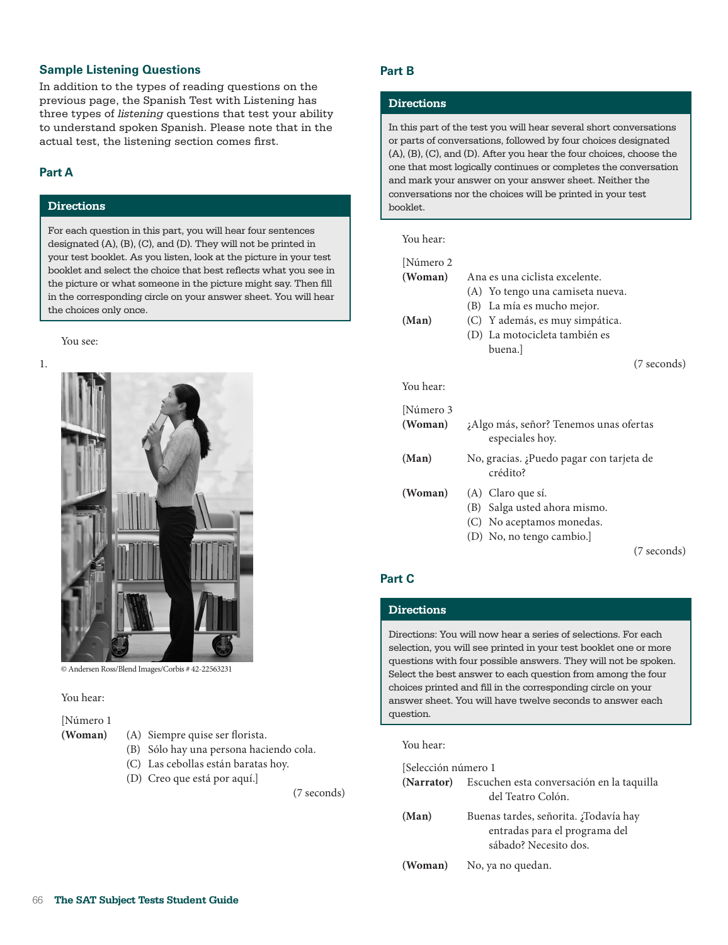### **Sample Listening Questions**

In addition to the types of reading questions on the previous page, the Spanish Test with Listening has three types of *listening* questions that test your ability to understand spoken Spanish. Please note that in the actual test, the listening section comes first.

# **Part A**

### **Directions**

For each question in this part, you will hear four sentences designated (A), (B), (C), and (D). They will not be printed in your test booklet. As you listen, look at the picture in your test booklet and select the choice that best reflects what you see in the picture or what someone in the picture might say. Then fill in the corresponding circle on your answer sheet. You will hear the choices only once.

#### You see:





© Andersen Ross/Blend Images/Corbis # 42-22563231

#### You hear:

#### [Número 1

- 
- **(Woman)** (A) Siempre quise ser forista.
	- (B) Sólo hay una persona haciendo cola.
	- (C) Las cebollas están baratas hoy.
	- (D) Creo que está por aquí.]

(7 seconds)

### **Part B**

#### **Directions**

In this part of the test you will hear several short conversations or parts of conversations, followed by four choices designated (A), (B), (C), and (D). After you hear the four choices, choose the one that most logically continues or completes the conversation and mark your answer on your answer sheet. Neither the conversations nor the choices will be printed in your test booklet.

### You hear:

| [Número 2 |                                                           |
|-----------|-----------------------------------------------------------|
| (Woman)   | Ana es una ciclista excelente.                            |
|           | (A) Yo tengo una camiseta nueva.                          |
|           | La mía es mucho mejor.<br>(B)                             |
| (Man)     | (C) Y además, es muy simpática.                           |
|           | (D) La motocicleta también es                             |
|           | buena.l                                                   |
|           | (7 seconds)                                               |
| You hear: |                                                           |
| Número 3  |                                                           |
| (Woman)   | ¿Algo más, señor? Tenemos unas ofertas<br>especiales hoy. |
| (Man)     | No, gracias. ¿Puedo pagar con tarjeta de<br>crédito?      |
| (Woman)   | (A) Claro que sí.                                         |
|           | (B) Salga usted ahora mismo.                              |
|           | (C) No aceptamos monedas.                                 |
|           | (D) No, no tengo cambio.]                                 |
|           | (7 seconds)                                               |
|           |                                                           |

### **Part C**

# **Directions**

Directions: You will now hear a series of selections. For each selection, you will see printed in your test booklet one or more questions with four possible answers. They will not be spoken. Select the best answer to each question from among the four choices printed and fill in the corresponding circle on your answer sheet. You will have twelve seconds to answer each question.

You hear:

| [Selección número 1 |                                                                                                 |  |  |  |  |
|---------------------|-------------------------------------------------------------------------------------------------|--|--|--|--|
|                     | (Narrator) Escuchen esta conversación en la taquilla<br>del Teatro Colón.                       |  |  |  |  |
| (Man)               | Buenas tardes, señorita. ;Todavía hay<br>entradas para el programa del<br>sábado? Necesito dos. |  |  |  |  |
| (Woman)             | No, ya no quedan.                                                                               |  |  |  |  |